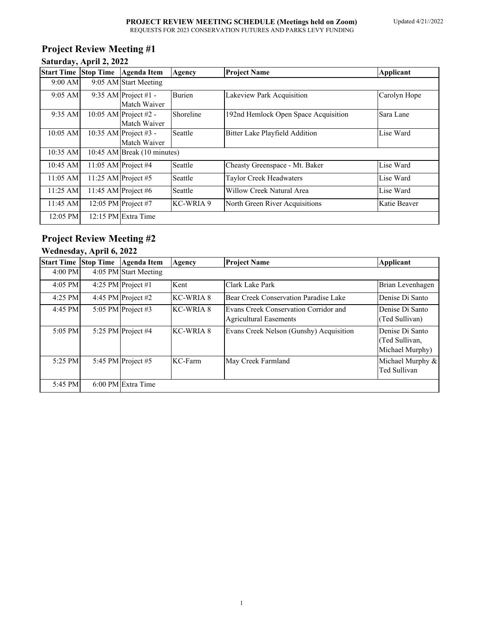# **Project Review Meeting #1**

| Saturday, April 2, 2022 |  |  |  |  |
|-------------------------|--|--|--|--|
|-------------------------|--|--|--|--|

| <b>Start Time</b>  | <b>Stop Time</b> | Agenda Item                           | <b>Agency</b> | <b>Project Name</b>                   | Applicant    |  |
|--------------------|------------------|---------------------------------------|---------------|---------------------------------------|--------------|--|
| $9:00$ AM          |                  | 9:05 AM Start Meeting                 |               |                                       |              |  |
| $9:05$ AM          |                  | 9:35 AM Project #1 -<br>Match Waiver  | <b>Burien</b> | Lakeview Park Acquisition             | Carolyn Hope |  |
| 9:35 AM            |                  | 10:05 AM Project #2 -<br>Match Waiver | Shoreline     | 192nd Hemlock Open Space Acquisition  | Sara Lane    |  |
| $10:05$ AM         |                  | 10:35 AM Project #3 -<br>Match Waiver | Seattle       | <b>Bitter Lake Playfield Addition</b> | Lise Ward    |  |
| 10:35 AM           |                  | 10:45 AM Break (10 minutes)           |               |                                       |              |  |
| 10:45 AM           |                  | 11:05 AM Project #4                   | Seattle       | Cheasty Greenspace - Mt. Baker        | Lise Ward    |  |
| $11:05$ AM         |                  | 11:25 AM Project #5                   | Seattle       | <b>Taylor Creek Headwaters</b>        | Lise Ward    |  |
| $11:25 \text{ AM}$ |                  | 11:45 AM Project #6                   | Seattle       | Willow Creek Natural Area             | Lise Ward    |  |
| 11:45 AM           |                  | 12:05 PM Project #7                   | KC-WRIA 9     | North Green River Acquisitions        | Katie Beaver |  |
| 12:05 PM           |                  | 12:15 PM Extra Time                   |               |                                       |              |  |

# **Project Review Meeting #2**

### **Wednesday, April 6, 2022**

| <b>Start Time Stop Time</b> | <b>Agenda Item</b>    | Agency    | <b>Project Name</b>                                                    | <b>Applicant</b>                                     |
|-----------------------------|-----------------------|-----------|------------------------------------------------------------------------|------------------------------------------------------|
| $4:00$ PM                   | 4:05 PM Start Meeting |           |                                                                        |                                                      |
| $4:05$ PM                   | 4:25 PM Project #1    | Kent      | Clark Lake Park                                                        | Brian Levenhagen                                     |
| 4:25 PM                     | 4:45 PM Project $#2$  | KC-WRIA 8 | Bear Creek Conservation Paradise Lake                                  | Denise Di Santo                                      |
| 4:45 PM                     | 5:05 PM Project #3    | KC-WRIA 8 | Evans Creek Conservation Corridor and<br><b>Agricultural Easements</b> | Denise Di Santo<br>(Ted Sullivan)                    |
| $5:05$ PM                   | 5:25 PM Project $#4$  | KC-WRIA 8 | Evans Creek Nelson (Gunshy) Acquisition                                | Denise Di Santo<br>(Ted Sullivan,<br>Michael Murphy) |
| $5:25$ PM                   | 5:45 PM Project $#5$  | KC-Farm   | May Creek Farmland                                                     | Michael Murphy &<br>Ted Sullivan                     |
| 5:45 PM                     | 6:00 PM Extra Time    |           |                                                                        |                                                      |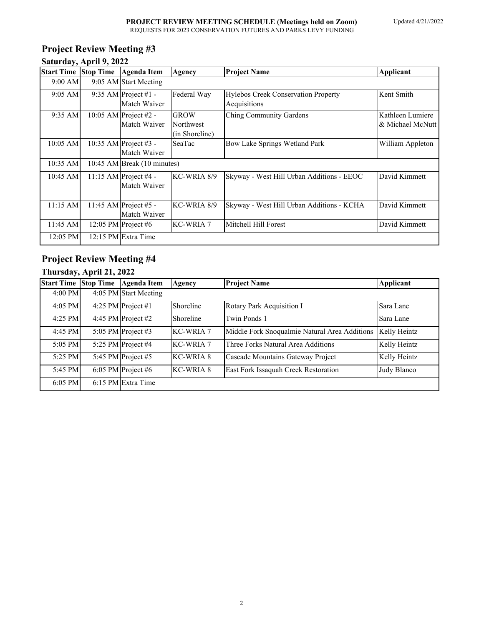## **Project Review Meeting #3 Saturday, April 9, 2022**

|            | Start Time Stop Time Agenda Item      | <b>Agency</b>                              | <b>Project Name</b>                                 | Applicant                            |
|------------|---------------------------------------|--------------------------------------------|-----------------------------------------------------|--------------------------------------|
| 9:00 AM    | 9:05 AM Start Meeting                 |                                            |                                                     |                                      |
| $9:05$ AM  | 9:35 AM Project #1 -<br>Match Waiver  | Federal Way                                | Hylebos Creek Conservation Property<br>Acquisitions | Kent Smith                           |
| 9:35 AM    | 10:05 AM Project #2 -<br>Match Waiver | <b>GROW</b><br>Northwest<br>(in Shoreline) | Ching Community Gardens                             | Kathleen Lumiere<br>& Michael McNutt |
| $10:05$ AM | 10:35 AM Project #3 -<br>Match Waiver | SeaTac                                     | Bow Lake Springs Wetland Park                       | William Appleton                     |
| 10:35 AM   | 10:45 AM Break (10 minutes)           |                                            |                                                     |                                      |
| 10:45 AM   | 11:15 AM Project #4 -<br>Match Waiver | KC-WRIA 8/9                                | Skyway - West Hill Urban Additions - EEOC           | David Kimmett                        |
| $11:15$ AM | 11:45 AM Project #5 -<br>Match Waiver | KC-WRIA 8/9                                | Skyway - West Hill Urban Additions - KCHA           | David Kimmett                        |
| 11:45 AM   | 12:05 PM Project #6                   | <b>KC-WRIA 7</b>                           | Mitchell Hill Forest                                | David Kimmett                        |
| 12:05 PM   | 12:15 PM Extra Time                   |                                            |                                                     |                                      |

# **Project Review Meeting #4**

# **Thursday, April 21, 2022**

| <b>Start Time Stop Time</b> | <b>Agenda Item</b>    | Agency           | <b>Project Name</b>                           | <b>Applicant</b> |
|-----------------------------|-----------------------|------------------|-----------------------------------------------|------------------|
| $4:00$ PM                   | 4:05 PM Start Meeting |                  |                                               |                  |
| $4:05$ PM                   | 4:25 PM Project #1    | Shoreline        | Rotary Park Acquisition I                     | Sara Lane        |
| $4:25$ PM                   | 4:45 PM Project #2    | Shoreline        | Twin Ponds 1                                  | Sara Lane        |
| 4:45 PM                     | 5:05 PM Project #3    | <b>KC-WRIA 7</b> | Middle Fork Snoqualmie Natural Area Additions | Kelly Heintz     |
| 5:05 PM                     | 5:25 PM Project #4    | KC-WRIA 7        | Three Forks Natural Area Additions            | Kelly Heintz     |
| 5:25 PM                     | 5:45 PM Project $#5$  | <b>KC-WRIA 8</b> | Cascade Mountains Gateway Project             | Kelly Heintz     |
| 5:45 PM                     | 6:05 PM Project #6    | <b>KC-WRIA 8</b> | East Fork Issaquah Creek Restoration          | Judy Blanco      |
| $6:05$ PM                   | 6:15 PM Extra Time    |                  |                                               |                  |